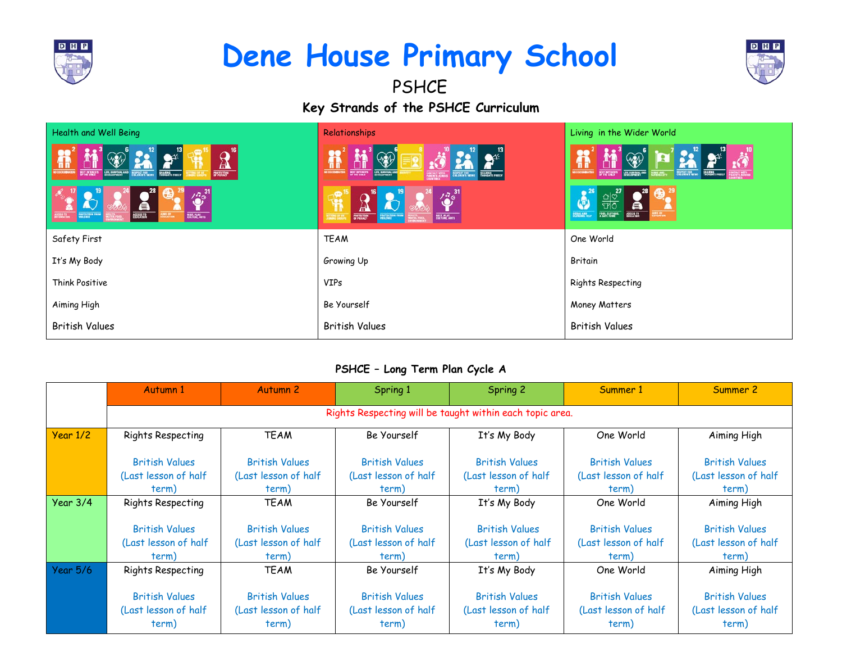

# **Dene House Primary School**



**Key Strands of the PSHCE Curriculum PSHCE** 

| <b>Health and Well Being</b>                                                                                      | Relationships                                                                                                                                                                                         | Living in the Wider World                                                                                                                    |
|-------------------------------------------------------------------------------------------------------------------|-------------------------------------------------------------------------------------------------------------------------------------------------------------------------------------------------------|----------------------------------------------------------------------------------------------------------------------------------------------|
| 16<br>$\frac{1}{2}$<br><b>Th</b><br><b>BY ATALLY</b><br>EUE, EURYQUAL AND MEMORY FER<br>SKARING<br>THROGHTS FREEY | $\mathbf{u}$<br><b>BUT MILASTS</b><br>LIFE, SURVIVAL AND<br>SKANDERS<br>THEOLOGIC'S FREELY                                                                                                            | ñ<br><b>BEST INTERESTS</b><br><b>DISCUSSION</b><br><b>RESPUES TOR</b><br>STATISTICS, AND                                                     |
| $\frac{1731}{100}$<br>$\tilde{\mathcal{L}}$<br>a<br>PROTECTION FROM<br><b>REST, FLAP</b><br>AGGESS TO             | $\left(\bigotimes^{7\frac{31}{9}}\right)$<br><b>AC</b><br>$\mathbf{H}$<br><b>ELECTRIC AVES</b><br>$\frac{1}{\omega}\frac{\text{var}(\mathbf{r})}{\text{var}(\mathbf{r})}$<br>ROTECTION FRO<br>Voltage | $\frac{\frac{1}{\sqrt{10}}}{\frac{1}{\sqrt{10}}}\frac{1}{\sqrt{10}}$<br>$\mathbf{A}^{26}$<br>Ă<br>FOOR, CLOTHINE,<br>ACCESS TO<br>ECCALL AND |
| Safety First                                                                                                      | <b>TEAM</b>                                                                                                                                                                                           | One World                                                                                                                                    |
| It's My Body                                                                                                      | Growing Up                                                                                                                                                                                            | Britain                                                                                                                                      |
| Think Positive                                                                                                    | <b>VIPs</b>                                                                                                                                                                                           | <b>Rights Respecting</b>                                                                                                                     |
| Aiming High                                                                                                       | Be Yourself                                                                                                                                                                                           | Money Matters                                                                                                                                |
| <b>British Values</b>                                                                                             | <b>British Values</b>                                                                                                                                                                                 | <b>British Values</b>                                                                                                                        |

### **PSHCE – Long Term Plan Cycle A**

|            | Autumn 1                                                 | Autumn <sub>2</sub>   | Spring 1              | Spring 2              | Summer 1              | Summer 2              |  |  |
|------------|----------------------------------------------------------|-----------------------|-----------------------|-----------------------|-----------------------|-----------------------|--|--|
|            | Rights Respecting will be taught within each topic area. |                       |                       |                       |                       |                       |  |  |
| Year 1/2   | Rights Respecting                                        | <b>TEAM</b>           | Be Yourself           | It's My Body          | One World             | Aiming High           |  |  |
|            | <b>British Values</b>                                    | <b>British Values</b> | <b>British Values</b> | <b>British Values</b> | <b>British Values</b> | <b>British Values</b> |  |  |
|            | (Last lesson of half                                     | (Last lesson of half  | (Last lesson of half  | (Last lesson of half  | (Last lesson of half  | (Last lesson of half  |  |  |
|            | term)                                                    | term)                 | term)                 | term)                 | term)                 | term)                 |  |  |
| Year $3/4$ | Rights Respecting                                        | <b>TEAM</b>           | Be Yourself           | It's My Body          | One World             | Aiming High           |  |  |
|            |                                                          |                       |                       |                       |                       |                       |  |  |
|            | <b>British Values</b>                                    | <b>British Values</b> | <b>British Values</b> | <b>British Values</b> | <b>British Values</b> | <b>British Values</b> |  |  |
|            | (Last lesson of half                                     | (Last lesson of half  | (Last lesson of half  | (Last lesson of half  | (Last lesson of half  | (Last lesson of half  |  |  |
|            | term)                                                    | term)                 | term)                 | term)                 | term)                 | term)                 |  |  |
| Year 5/6   | Rights Respecting                                        | <b>TEAM</b>           | Be Yourself           | It's My Body          | One World             | Aiming High           |  |  |
|            |                                                          |                       |                       |                       |                       |                       |  |  |
|            | <b>British Values</b>                                    | <b>British Values</b> | <b>British Values</b> | <b>British Values</b> | <b>British Values</b> | <b>British Values</b> |  |  |
|            | (Last lesson of half                                     | (Last lesson of half  | (Last lesson of half  | (Last lesson of half  | (Last lesson of half  | (Last lesson of half  |  |  |
|            | term)                                                    | term)                 | term)                 | term)                 | term)                 | term)                 |  |  |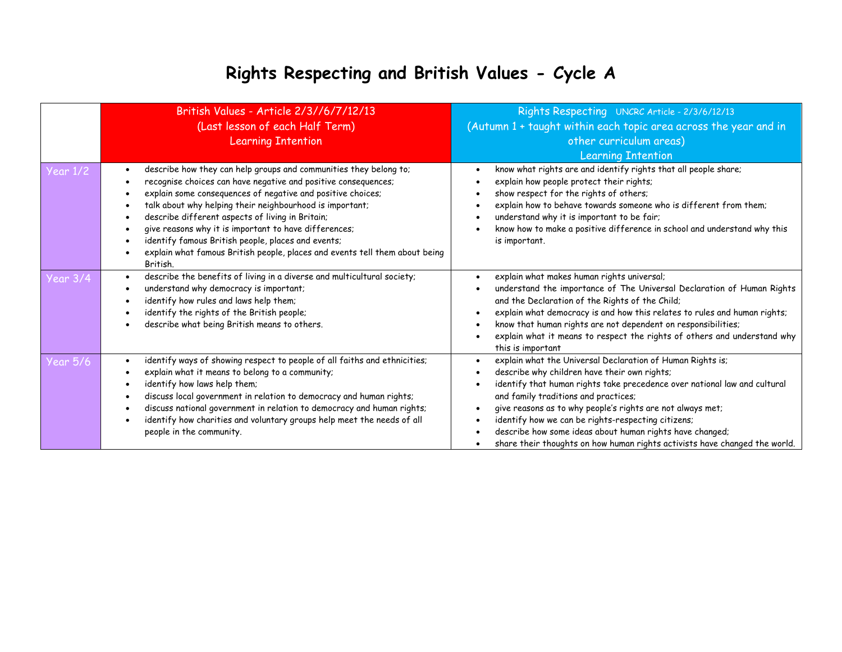### **Rights Respecting and British Values - Cycle A**

|                 | British Values - Article 2/3//6/7/12/13<br>(Last lesson of each Half Term)<br><b>Learning Intention</b>                                                                                                                                                                                                                                                                                                                                                                                                                      | Rights Respecting UNCRC Article - 2/3/6/12/13<br>(Autumn 1 + taught within each topic area across the year and in<br>other curriculum areas)<br><b>Learning Intention</b>                                                                                                                                                                                                                                                                                                                     |
|-----------------|------------------------------------------------------------------------------------------------------------------------------------------------------------------------------------------------------------------------------------------------------------------------------------------------------------------------------------------------------------------------------------------------------------------------------------------------------------------------------------------------------------------------------|-----------------------------------------------------------------------------------------------------------------------------------------------------------------------------------------------------------------------------------------------------------------------------------------------------------------------------------------------------------------------------------------------------------------------------------------------------------------------------------------------|
| <b>Year 1/2</b> | describe how they can help groups and communities they belong to;<br>recognise choices can have negative and positive consequences;<br>explain some consequences of negative and positive choices;<br>talk about why helping their neighbourhood is important;<br>describe different aspects of living in Britain;<br>give reasons why it is important to have differences;<br>identify famous British people, places and events;<br>explain what famous British people, places and events tell them about being<br>British. | know what rights are and identify rights that all people share;<br>explain how people protect their rights;<br>show respect for the rights of others;<br>explain how to behave towards someone who is different from them;<br>understand why it is important to be fair;<br>know how to make a positive difference in school and understand why this<br>is important.                                                                                                                         |
| <b>Year 3/4</b> | describe the benefits of living in a diverse and multicultural society;<br>understand why democracy is important;<br>identify how rules and laws help them;<br>identify the rights of the British people;<br>describe what being British means to others.                                                                                                                                                                                                                                                                    | explain what makes human rights universal;<br>understand the importance of The Universal Declaration of Human Rights<br>and the Declaration of the Rights of the Child;<br>explain what democracy is and how this relates to rules and human rights;<br>know that human rights are not dependent on responsibilities;<br>explain what it means to respect the rights of others and understand why<br>this is important                                                                        |
| <b>Year 5/6</b> | identify ways of showing respect to people of all faiths and ethnicities;<br>explain what it means to belong to a community;<br>identify how laws help them;<br>discuss local government in relation to democracy and human rights;<br>discuss national government in relation to democracy and human rights;<br>identify how charities and voluntary groups help meet the needs of all<br>people in the community.                                                                                                          | explain what the Universal Declaration of Human Rights is;<br>describe why children have their own rights;<br>identify that human rights take precedence over national law and cultural<br>and family traditions and practices;<br>give reasons as to why people's rights are not always met;<br>identify how we can be rights-respecting citizens;<br>describe how some ideas about human rights have changed;<br>share their thoughts on how human rights activists have changed the world. |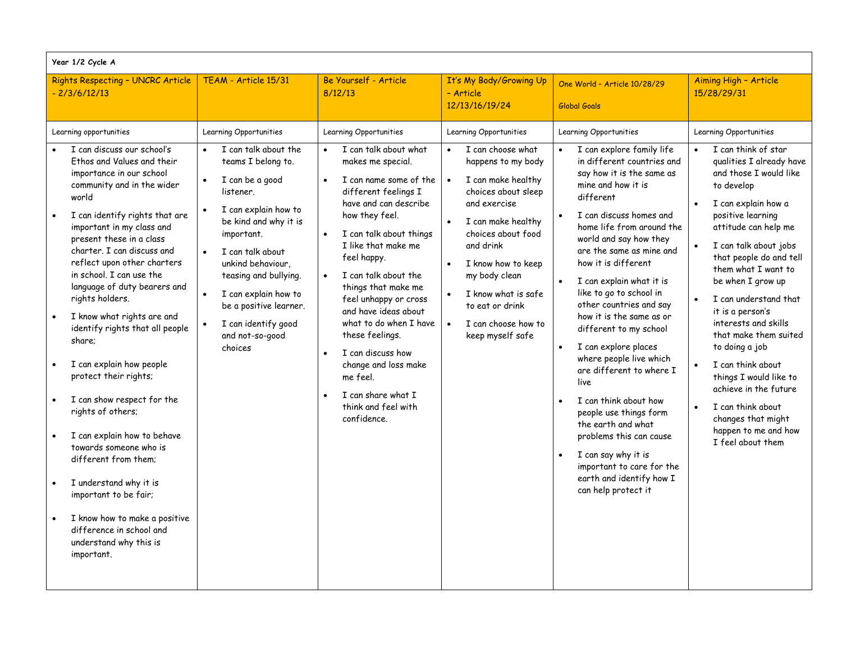| Year 1/2 Cycle A                                                                                                                                                                                                                                                                                                                                                                                                                                                                                                                                                                                                                                                                                                                                                                                                                      |                                                                                                                                                                                                                                                                                                                                                           |                                                                                                                                                                                                                                                                                                                                                                                                                                                                                                                   |                                                                                                                                                                                                                                                                                                                                  |                                                                                                                                                                                                                                                                                                                                                                                                                                                                                                                                                                                                                                                                                                                                                                                                   |                                                                                                                                                                                                                                                                                                                                                                                                                                                                                                                                                                       |  |  |
|---------------------------------------------------------------------------------------------------------------------------------------------------------------------------------------------------------------------------------------------------------------------------------------------------------------------------------------------------------------------------------------------------------------------------------------------------------------------------------------------------------------------------------------------------------------------------------------------------------------------------------------------------------------------------------------------------------------------------------------------------------------------------------------------------------------------------------------|-----------------------------------------------------------------------------------------------------------------------------------------------------------------------------------------------------------------------------------------------------------------------------------------------------------------------------------------------------------|-------------------------------------------------------------------------------------------------------------------------------------------------------------------------------------------------------------------------------------------------------------------------------------------------------------------------------------------------------------------------------------------------------------------------------------------------------------------------------------------------------------------|----------------------------------------------------------------------------------------------------------------------------------------------------------------------------------------------------------------------------------------------------------------------------------------------------------------------------------|---------------------------------------------------------------------------------------------------------------------------------------------------------------------------------------------------------------------------------------------------------------------------------------------------------------------------------------------------------------------------------------------------------------------------------------------------------------------------------------------------------------------------------------------------------------------------------------------------------------------------------------------------------------------------------------------------------------------------------------------------------------------------------------------------|-----------------------------------------------------------------------------------------------------------------------------------------------------------------------------------------------------------------------------------------------------------------------------------------------------------------------------------------------------------------------------------------------------------------------------------------------------------------------------------------------------------------------------------------------------------------------|--|--|
| Rights Respecting - UNCRC Article<br>$-2/3/6/12/13$                                                                                                                                                                                                                                                                                                                                                                                                                                                                                                                                                                                                                                                                                                                                                                                   | TEAM - Article 15/31                                                                                                                                                                                                                                                                                                                                      | Be Yourself - Article<br>8/12/13                                                                                                                                                                                                                                                                                                                                                                                                                                                                                  | It's My Body/Growing Up<br>- Article<br>12/13/16/19/24                                                                                                                                                                                                                                                                           | One World - Article 10/28/29<br>Global Goals                                                                                                                                                                                                                                                                                                                                                                                                                                                                                                                                                                                                                                                                                                                                                      | Aiming High - Article<br>15/28/29/31                                                                                                                                                                                                                                                                                                                                                                                                                                                                                                                                  |  |  |
| Learning opportunities<br>I can discuss our school's<br>Ethos and Values and their<br>importance in our school<br>community and in the wider<br>world<br>I can identify rights that are<br>$\bullet$<br>important in my class and<br>present these in a class<br>charter. I can discuss and<br>reflect upon other charters<br>in school. I can use the<br>language of duty bearers and<br>rights holders.<br>I know what rights are and<br>identify rights that all people<br>share;<br>I can explain how people<br>protect their rights;<br>I can show respect for the<br>rights of others;<br>I can explain how to behave<br>towards someone who is<br>different from them:<br>I understand why it is<br>important to be fair;<br>I know how to make a positive<br>difference in school and<br>understand why this is<br>important. | Learning Opportunities<br>I can talk about the<br>teams I belong to.<br>I can be a good<br>$\bullet$<br>listener.<br>I can explain how to<br>be kind and why it is<br>important.<br>I can talk about<br>unkind behaviour,<br>teasing and bullying.<br>I can explain how to<br>be a positive learner.<br>I can identify good<br>and not-so-good<br>choices | Learning Opportunities<br>I can talk about what<br>makes me special.<br>I can name some of the<br>different feelings I<br>have and can describe<br>how they feel.<br>I can talk about things<br>I like that make me<br>feel happy.<br>I can talk about the<br>$\bullet$<br>things that make me<br>feel unhappy or cross<br>and have ideas about<br>what to do when I have<br>these feelings.<br>I can discuss how<br>change and loss make<br>me feel.<br>I can share what I<br>think and feel with<br>confidence. | Learning Opportunities<br>I can choose what<br>happens to my body<br>I can make healthy<br>choices about sleep<br>and exercise<br>I can make healthy<br>choices about food<br>and drink<br>I know how to keep<br>my body clean<br>I know what is safe<br>to eat or drink<br>I can choose how to<br>$\bullet$<br>keep myself safe | Learning Opportunities<br>I can explore family life<br>$\bullet$<br>in different countries and<br>say how it is the same as<br>mine and how it is<br>different<br>I can discuss homes and<br>$\bullet$<br>home life from around the<br>world and say how they<br>are the same as mine and<br>how it is different<br>I can explain what it is<br>like to go to school in<br>other countries and say<br>how it is the same as or<br>different to my school<br>I can explore places<br>$\bullet$<br>where people live which<br>are different to where I<br>live<br>I can think about how<br>$\bullet$<br>people use things form<br>the earth and what<br>problems this can cause<br>I can say why it is<br>$\bullet$<br>important to care for the<br>earth and identify how I<br>can help protect it | Learning Opportunities<br>I can think of star<br>qualities I already have<br>and those I would like<br>to develop<br>I can explain how a<br>positive learning<br>attitude can help me<br>I can talk about jobs<br>that people do and tell<br>them what I want to<br>be when I grow up<br>I can understand that<br>it is a person's<br>interests and skills<br>that make them suited<br>to doing a job<br>I can think about<br>things I would like to<br>achieve in the future<br>I can think about<br>changes that might<br>happen to me and how<br>I feel about them |  |  |
|                                                                                                                                                                                                                                                                                                                                                                                                                                                                                                                                                                                                                                                                                                                                                                                                                                       |                                                                                                                                                                                                                                                                                                                                                           |                                                                                                                                                                                                                                                                                                                                                                                                                                                                                                                   |                                                                                                                                                                                                                                                                                                                                  |                                                                                                                                                                                                                                                                                                                                                                                                                                                                                                                                                                                                                                                                                                                                                                                                   |                                                                                                                                                                                                                                                                                                                                                                                                                                                                                                                                                                       |  |  |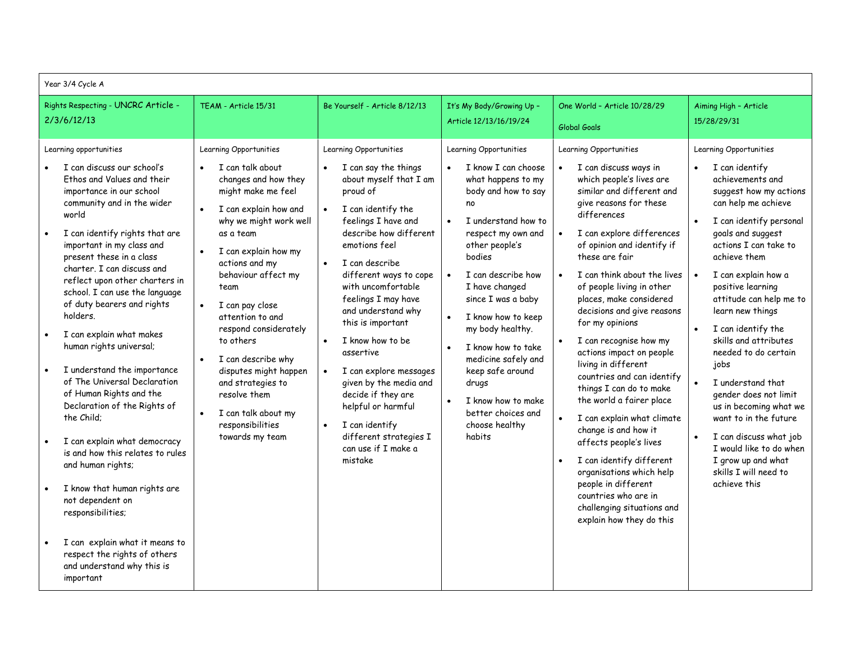| Year 3/4 Cycle A                                                                                                                                                                                                                                                                                                                                                                                                                                                   |  |                                                                                                                                                                                                                                                                                                                                                          |                                                                                                                                                                                                                                                                                                                                                                                                                                |                                                                                                                                                                                                                                                                                                                                 |                                                                                                                                                                                                                                                                                                                                                                                                                                                                                               |                                                                                                                                                                                                                                                                                                                                                                                            |
|--------------------------------------------------------------------------------------------------------------------------------------------------------------------------------------------------------------------------------------------------------------------------------------------------------------------------------------------------------------------------------------------------------------------------------------------------------------------|--|----------------------------------------------------------------------------------------------------------------------------------------------------------------------------------------------------------------------------------------------------------------------------------------------------------------------------------------------------------|--------------------------------------------------------------------------------------------------------------------------------------------------------------------------------------------------------------------------------------------------------------------------------------------------------------------------------------------------------------------------------------------------------------------------------|---------------------------------------------------------------------------------------------------------------------------------------------------------------------------------------------------------------------------------------------------------------------------------------------------------------------------------|-----------------------------------------------------------------------------------------------------------------------------------------------------------------------------------------------------------------------------------------------------------------------------------------------------------------------------------------------------------------------------------------------------------------------------------------------------------------------------------------------|--------------------------------------------------------------------------------------------------------------------------------------------------------------------------------------------------------------------------------------------------------------------------------------------------------------------------------------------------------------------------------------------|
| Rights Respecting - UNCRC Article -<br>2/3/6/12/13                                                                                                                                                                                                                                                                                                                                                                                                                 |  | TEAM - Article 15/31                                                                                                                                                                                                                                                                                                                                     | Be Yourself - Article 8/12/13                                                                                                                                                                                                                                                                                                                                                                                                  | It's My Body/Growing Up -<br>Article 12/13/16/19/24                                                                                                                                                                                                                                                                             | One World - Article 10/28/29<br>Global Goals                                                                                                                                                                                                                                                                                                                                                                                                                                                  | Aiming High - Article<br>15/28/29/31                                                                                                                                                                                                                                                                                                                                                       |
| Learning opportunities<br>I can discuss our school's<br>Ethos and Values and their<br>importance in our school<br>community and in the wider<br>world                                                                                                                                                                                                                                                                                                              |  | Learning Opportunities<br>I can talk about<br>$\bullet$<br>changes and how they<br>might make me feel<br>I can explain how and                                                                                                                                                                                                                           | Learning Opportunities<br>I can say the things<br>about myself that I am<br>proud of<br>I can identify the                                                                                                                                                                                                                                                                                                                     | Learning Opportunities<br>I know I can choose<br>what happens to my<br>body and how to say<br>no                                                                                                                                                                                                                                | Learning Opportunities<br>I can discuss ways in<br>which people's lives are<br>similar and different and<br>give reasons for these<br>differences                                                                                                                                                                                                                                                                                                                                             | Learning Opportunities<br>I can identify<br>achievements and<br>suggest how my actions<br>can help me achieve                                                                                                                                                                                                                                                                              |
| I can identify rights that are<br>important in my class and<br>present these in a class<br>charter. I can discuss and<br>reflect upon other charters in<br>school. I can use the language<br>of duty bearers and rights<br>holders.<br>I can explain what makes<br>human rights universal;<br>I understand the importance<br>of The Universal Declaration<br>of Human Rights and the<br>Declaration of the Rights of<br>the Child:<br>I can explain what democracy |  | why we might work well<br>as a team<br>I can explain how my<br>actions and my<br>behaviour affect my<br>team<br>I can pay close<br>$\bullet$<br>attention to and<br>respond considerately<br>to others<br>I can describe why<br>disputes might happen<br>and strategies to<br>resolve them<br>I can talk about my<br>responsibilities<br>towards my team | feelings I have and<br>describe how different<br>emotions feel<br>I can describe<br>$\bullet$<br>different ways to cope<br>with uncomfortable<br>feelings I may have<br>and understand why<br>this is important<br>I know how to be<br>assertive<br>I can explore messages<br>given by the media and<br>decide if they are<br>helpful or harmful<br>I can identify<br>different strategies I<br>can use if I make a<br>mistake | I understand how to<br>respect my own and<br>other people's<br>bodies<br>I can describe how<br>I have changed<br>since I was a baby<br>I know how to keep<br>my body healthy.<br>I know how to take<br>medicine safely and<br>keep safe around<br>drugs<br>I know how to make<br>better choices and<br>choose healthy<br>habits | I can explore differences<br>of opinion and identify if<br>these are fair<br>I can think about the lives<br>$\bullet$<br>of people living in other<br>places, make considered<br>decisions and give reasons<br>for my opinions<br>I can recognise how my<br>actions impact on people<br>living in different<br>countries and can identify<br>things I can do to make<br>the world a fairer place<br>I can explain what climate<br>$\bullet$<br>change is and how it<br>affects people's lives | I can identify personal<br>goals and suggest<br>actions I can take to<br>achieve them<br>I can explain how a<br>positive learning<br>attitude can help me to<br>learn new things<br>I can identify the<br>skills and attributes<br>needed to do certain<br>jobs<br>I understand that<br>gender does not limit<br>us in becoming what we<br>want to in the future<br>I can discuss what job |
| is and how this relates to rules<br>and human rights;<br>I know that human rights are<br>not dependent on<br>responsibilities;<br>I can explain what it means to<br>respect the rights of others<br>and understand why this is<br>important                                                                                                                                                                                                                        |  |                                                                                                                                                                                                                                                                                                                                                          |                                                                                                                                                                                                                                                                                                                                                                                                                                |                                                                                                                                                                                                                                                                                                                                 |                                                                                                                                                                                                                                                                                                                                                                                                                                                                                               | I can identify different<br>$\bullet$<br>organisations which help<br>people in different<br>countries who are in<br>challenging situations and<br>explain how they do this                                                                                                                                                                                                                 |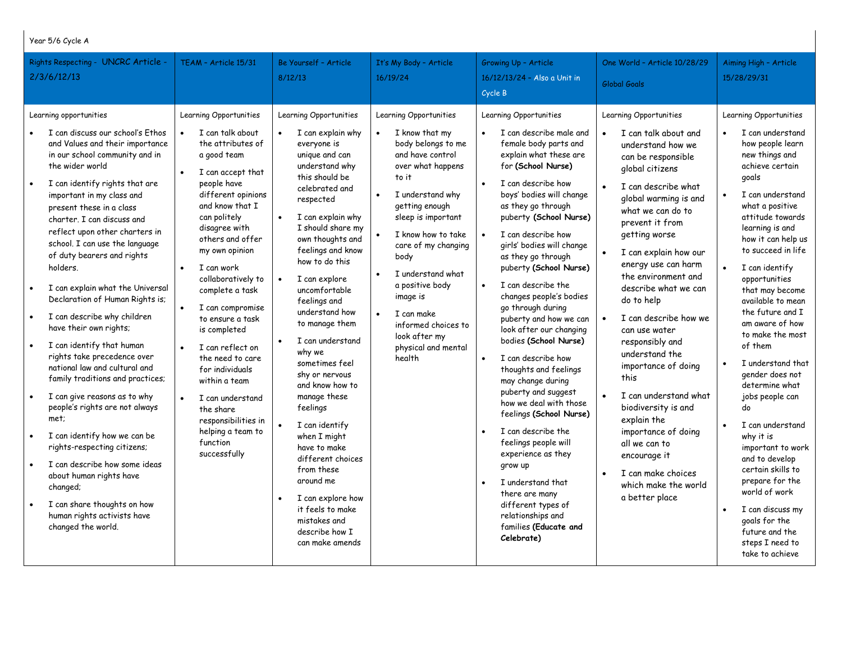#### Year 5/6 Cycle A

| Rights Respecting - UNCRC Article -<br>2/3/6/12/13                                                                                                                                                                                                                                                                                                                                                                                                                                                                                                                                                                                                                                                                                                                                                                                                                                                                                                                           | TEAM - Article 15/31                                                                                                                                                                                                                                                                                                                                                                                                                                                                                                                                | Be Yourself - Article<br>8/12/13                                                                                                                                                                                                                                                                                                                                                                                                                                                                                                                                                                                                                                                      | It's My Body - Article<br>16/19/24                                                                                                                                                                                                                                                                                                                                           | Growing Up - Article<br>16/12/13/24 - Also a Unit in<br>Cycle B                                                                                                                                                                                                                                                                                                                                                                                                                                                                                                                                                                                                                                                                                                                                                                                          | One World - Article 10/28/29<br>Global Goals                                                                                                                                                                                                                                                                                                                                                                                                                                                                                                                                                                                                         | Aiming High - Article<br>15/28/29/31                                                                                                                                                                                                                                                                                                                                                                                                                                                                                                                                                                                                                                                                                                            |
|------------------------------------------------------------------------------------------------------------------------------------------------------------------------------------------------------------------------------------------------------------------------------------------------------------------------------------------------------------------------------------------------------------------------------------------------------------------------------------------------------------------------------------------------------------------------------------------------------------------------------------------------------------------------------------------------------------------------------------------------------------------------------------------------------------------------------------------------------------------------------------------------------------------------------------------------------------------------------|-----------------------------------------------------------------------------------------------------------------------------------------------------------------------------------------------------------------------------------------------------------------------------------------------------------------------------------------------------------------------------------------------------------------------------------------------------------------------------------------------------------------------------------------------------|---------------------------------------------------------------------------------------------------------------------------------------------------------------------------------------------------------------------------------------------------------------------------------------------------------------------------------------------------------------------------------------------------------------------------------------------------------------------------------------------------------------------------------------------------------------------------------------------------------------------------------------------------------------------------------------|------------------------------------------------------------------------------------------------------------------------------------------------------------------------------------------------------------------------------------------------------------------------------------------------------------------------------------------------------------------------------|----------------------------------------------------------------------------------------------------------------------------------------------------------------------------------------------------------------------------------------------------------------------------------------------------------------------------------------------------------------------------------------------------------------------------------------------------------------------------------------------------------------------------------------------------------------------------------------------------------------------------------------------------------------------------------------------------------------------------------------------------------------------------------------------------------------------------------------------------------|------------------------------------------------------------------------------------------------------------------------------------------------------------------------------------------------------------------------------------------------------------------------------------------------------------------------------------------------------------------------------------------------------------------------------------------------------------------------------------------------------------------------------------------------------------------------------------------------------------------------------------------------------|-------------------------------------------------------------------------------------------------------------------------------------------------------------------------------------------------------------------------------------------------------------------------------------------------------------------------------------------------------------------------------------------------------------------------------------------------------------------------------------------------------------------------------------------------------------------------------------------------------------------------------------------------------------------------------------------------------------------------------------------------|
| Learning opportunities<br>I can discuss our school's Ethos<br>and Values and their importance<br>in our school community and in<br>the wider world<br>I can identify rights that are<br>important in my class and<br>present these in a class<br>charter. I can discuss and<br>reflect upon other charters in<br>school. I can use the language<br>of duty bearers and rights<br>holders.<br>I can explain what the Universal<br>Declaration of Human Rights is;<br>I can describe why children<br>have their own rights;<br>I can identify that human<br>rights take precedence over<br>national law and cultural and<br>family traditions and practices;<br>I can give reasons as to why<br>people's rights are not always<br>met;<br>I can identify how we can be<br>$\bullet$<br>rights-respecting citizens;<br>I can describe how some ideas<br>about human rights have<br>changed;<br>I can share thoughts on how<br>human rights activists have<br>changed the world. | Learning Opportunities<br>I can talk about<br>the attributes of<br>a good team<br>I can accept that<br>people have<br>different opinions<br>and know that I<br>can politely<br>disagree with<br>others and offer<br>my own opinion<br>I can work<br>$\bullet$<br>collaboratively to<br>complete a task<br>I can compromise<br>to ensure a task<br>is completed<br>I can reflect on<br>the need to care<br>for individuals<br>within a team<br>I can understand<br>the share<br>responsibilities in<br>helping a team to<br>function<br>successfully | Learning Opportunities<br>I can explain why<br>$\bullet$<br>everyone is<br>unique and can<br>understand why<br>this should be<br>celebrated and<br>respected<br>I can explain why<br>I should share my<br>own thoughts and<br>feelings and know<br>how to do this<br>I can explore<br>$\bullet$<br>uncomfortable<br>feelings and<br>understand how<br>to manage them<br>I can understand<br>why we<br>sometimes feel<br>shy or nervous<br>and know how to<br>manage these<br>feelings<br>I can identify<br>when I might<br>have to make<br>different choices<br>from these<br>around me<br>I can explore how<br>it feels to make<br>mistakes and<br>describe how I<br>can make amends | Learning Opportunities<br>I know that my<br>body belongs to me<br>and have control<br>over what happens<br>to it<br>I understand why<br>getting enough<br>sleep is important<br>I know how to take<br>care of my changing<br>body<br>I understand what<br>a positive body<br>image is<br>I can make<br>informed choices to<br>look after my<br>physical and mental<br>health | Learning Opportunities<br>I can describe male and<br>female body parts and<br>explain what these are<br>for (School Nurse)<br>I can describe how<br>boys' bodies will change<br>as they go through<br>puberty (School Nurse)<br>I can describe how<br>girls' bodies will change<br>as they go through<br>puberty (School Nurse)<br>I can describe the<br>changes people's bodies<br>go through during<br>puberty and how we can<br>look after our changing<br>bodies (School Nurse)<br>I can describe how<br>thoughts and feelings<br>may change during<br>puberty and suggest<br>how we deal with those<br>feelings (School Nurse)<br>I can describe the<br>feelings people will<br>experience as they<br>grow up<br>I understand that<br>$\bullet$<br>there are many<br>different types of<br>relationships and<br>families (Educate and<br>Celebrate) | Learning Opportunities<br>I can talk about and<br>$\bullet$<br>understand how we<br>can be responsible<br>global citizens<br>I can describe what<br>global warming is and<br>what we can do to<br>prevent it from<br>getting worse<br>I can explain how our<br>energy use can harm<br>the environment and<br>describe what we can<br>do to help<br>I can describe how we<br>can use water<br>responsibly and<br>understand the<br>importance of doing<br>this<br>I can understand what<br>biodiversity is and<br>explain the<br>importance of doing<br>all we can to<br>encourage it<br>I can make choices<br>which make the world<br>a better place | Learning Opportunities<br>I can understand<br>how people learn<br>new things and<br>achieve certain<br>goals<br>I can understand<br>what a positive<br>attitude towards<br>learning is and<br>how it can help us<br>to succeed in life<br>I can identify<br>$\bullet$<br>opportunities<br>that may become<br>available to mean<br>the future and I<br>am aware of how<br>to make the most<br>of them<br>I understand that<br>$\bullet$<br>gender does not<br>determine what<br>jobs people can<br>do<br>I can understand<br>why it is<br>important to work<br>and to develop<br>certain skills to<br>prepare for the<br>world of work<br>I can discuss my<br>$\bullet$<br>goals for the<br>future and the<br>steps I need to<br>take to achieve |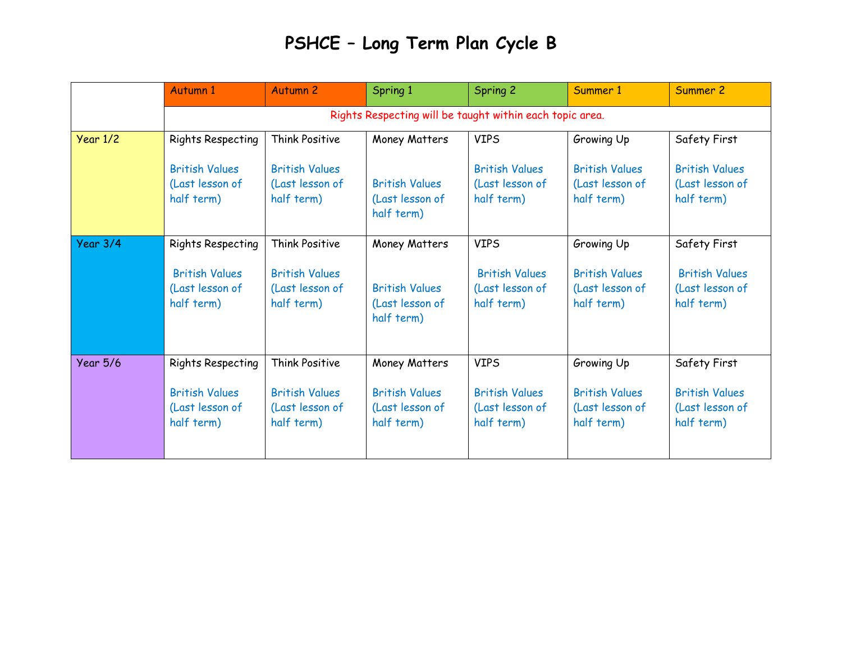## **PSHCE – Long Term Plan Cycle B**

|                 | Autumn 1                                                 | <b>Autumn 2</b>       | Spring 1              | Spring 2              | Summer 1              | Summer 2              |  |  |  |
|-----------------|----------------------------------------------------------|-----------------------|-----------------------|-----------------------|-----------------------|-----------------------|--|--|--|
|                 | Rights Respecting will be taught within each topic area. |                       |                       |                       |                       |                       |  |  |  |
| Year 1/2        | <b>Rights Respecting</b>                                 | Think Positive        | Money Matters         | <b>VIPS</b>           | Growing Up            | Safety First          |  |  |  |
|                 | <b>British Values</b>                                    | <b>British Values</b> | <b>British Values</b> | <b>British Values</b> | <b>British Values</b> | <b>British Values</b> |  |  |  |
|                 | (Last lesson of                                          | (Last lesson of       | (Last lesson of       | (Last lesson of       | (Last lesson of       | (Last lesson of       |  |  |  |
|                 | half term)                                               | half term)            | half term)            | half term)            | half term)            | half term)            |  |  |  |
| Year 3/4        | <b>Rights Respecting</b>                                 | <b>Think Positive</b> | Money Matters         | <b>VIPS</b>           | Growing Up            | Safety First          |  |  |  |
|                 | <b>British Values</b>                                    | <b>British Values</b> | <b>British Values</b> | <b>British Values</b> | <b>British Values</b> | <b>British Values</b> |  |  |  |
|                 | (Last lesson of                                          | (Last lesson of       | (Last lesson of       | (Last lesson of       | (Last lesson of       | (Last lesson of       |  |  |  |
|                 | half term)                                               | half term)            | half term)            | half term)            | half term)            | half term)            |  |  |  |
| <b>Year 5/6</b> | <b>Rights Respecting</b>                                 | <b>Think Positive</b> | Money Matters         | <b>VIPS</b>           | Growing Up            | Safety First          |  |  |  |
|                 | <b>British Values</b>                                    | <b>British Values</b> | <b>British Values</b> | <b>British Values</b> | <b>British Values</b> | <b>British Values</b> |  |  |  |
|                 | (Last lesson of                                          | (Last lesson of       | (Last lesson of       | (Last lesson of       | (Last lesson of       | (Last lesson of       |  |  |  |
|                 | half term)                                               | half term)            | half term)            | half term)            | half term)            | half term)            |  |  |  |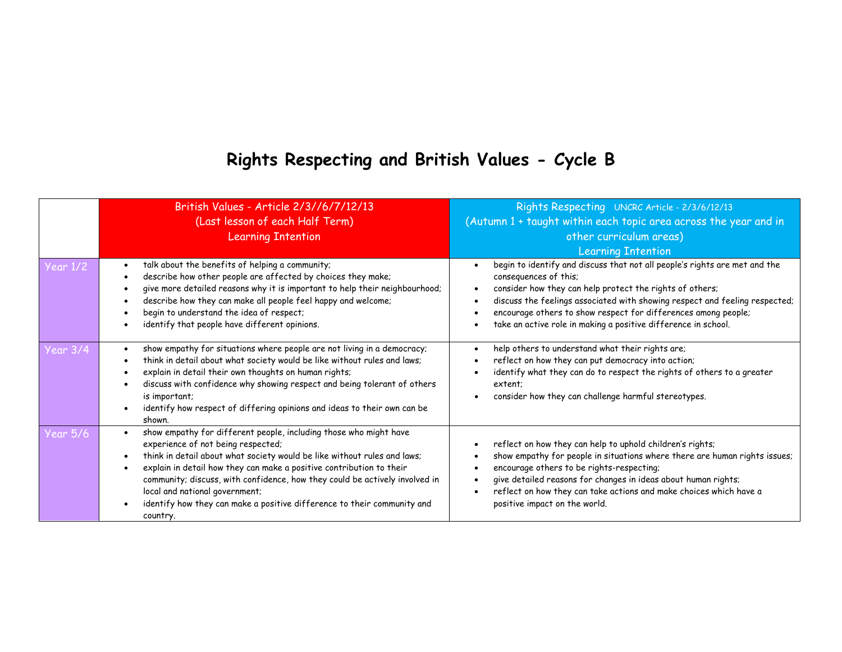## **Rights Respecting and British Values - Cycle B**

| Year $1/2$ | British Values - Article 2/3//6/7/12/13<br>(Last lesson of each Half Term)<br><b>Learning Intention</b><br>talk about the benefits of helping a community;<br>describe how other people are affected by choices they make;<br>give more detailed reasons why it is important to help their neighbourhood;                                                                                                                                                           | Rights Respecting UNCRC Article - 2/3/6/12/13<br>(Autumn 1 + taught within each topic area across the year and in<br>other curriculum areas)<br><b>Learning Intention</b><br>begin to identify and discuss that not all people's rights are met and the<br>consequences of this;<br>consider how they can help protect the rights of others;                  |
|------------|---------------------------------------------------------------------------------------------------------------------------------------------------------------------------------------------------------------------------------------------------------------------------------------------------------------------------------------------------------------------------------------------------------------------------------------------------------------------|---------------------------------------------------------------------------------------------------------------------------------------------------------------------------------------------------------------------------------------------------------------------------------------------------------------------------------------------------------------|
|            | describe how they can make all people feel happy and welcome;<br>begin to understand the idea of respect;<br>identify that people have different opinions.                                                                                                                                                                                                                                                                                                          | discuss the feelings associated with showing respect and feeling respected;<br>encourage others to show respect for differences among people;<br>take an active role in making a positive difference in school.                                                                                                                                               |
| Year 3/4   | show empathy for situations where people are not living in a democracy;<br>think in detail about what society would be like without rules and laws;<br>explain in detail their own thoughts on human rights;<br>discuss with confidence why showing respect and being tolerant of others<br>is important;<br>identify how respect of differing opinions and ideas to their own can be<br>shown.                                                                     | help others to understand what their rights are;<br>reflect on how they can put democracy into action;<br>identify what they can do to respect the rights of others to a greater<br>extent:<br>consider how they can challenge harmful stereotypes.                                                                                                           |
| Year 5/6   | show empathy for different people, including those who might have<br>experience of not being respected;<br>think in detail about what society would be like without rules and laws;<br>explain in detail how they can make a positive contribution to their<br>community; discuss, with confidence, how they could be actively involved in<br>local and national government;<br>identify how they can make a positive difference to their community and<br>country. | reflect on how they can help to uphold children's rights;<br>show empathy for people in situations where there are human rights issues;<br>encourage others to be rights-respecting;<br>give detailed reasons for changes in ideas about human rights;<br>reflect on how they can take actions and make choices which have a<br>positive impact on the world. |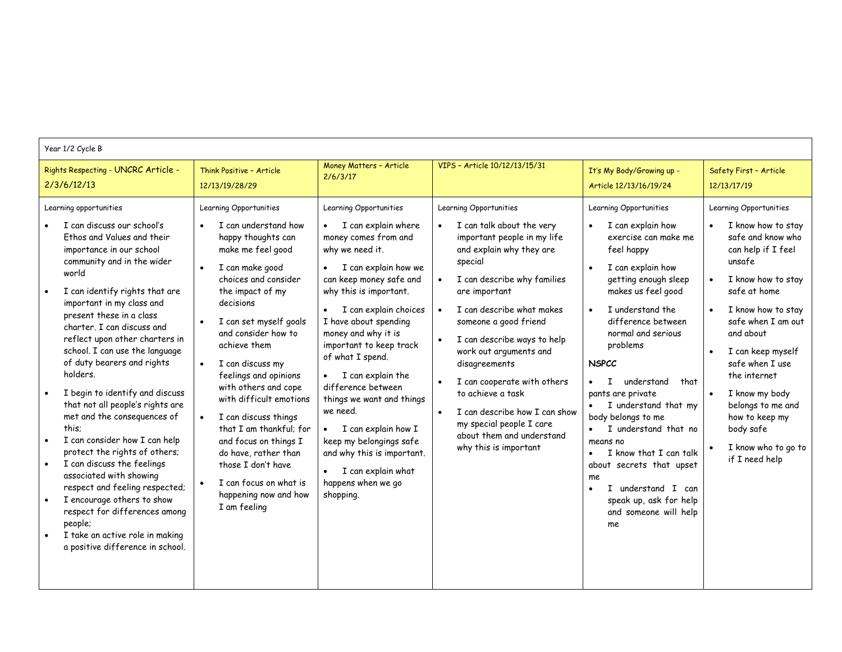#### Year 1/2 Cycle B

| Rights Respecting - UNCRC Article -                                                                                                                                                                                                                                                                                                                                                                                                                                                                                                                                                                                                                                                                                                                                                                                       | Think Positive - Article                                                                                                                                                                                                                                                                                                                                                                                                                                                                                                                                      | Money Matters - Article                                                                                                                                                                                                                                                                                                                                                                                                                                                                                                                 | VIPS - Article 10/12/13/15/31                                                                                                                                                                                                                                                                                                                                                                                                                                                    | It's My Body/Growing up -                                                                                                                                                                                                                                                                                                                                                                                                                                                                                                                 | Safety First - Article                                                                                                                                                                                                                                                                                                                                                  |
|---------------------------------------------------------------------------------------------------------------------------------------------------------------------------------------------------------------------------------------------------------------------------------------------------------------------------------------------------------------------------------------------------------------------------------------------------------------------------------------------------------------------------------------------------------------------------------------------------------------------------------------------------------------------------------------------------------------------------------------------------------------------------------------------------------------------------|---------------------------------------------------------------------------------------------------------------------------------------------------------------------------------------------------------------------------------------------------------------------------------------------------------------------------------------------------------------------------------------------------------------------------------------------------------------------------------------------------------------------------------------------------------------|-----------------------------------------------------------------------------------------------------------------------------------------------------------------------------------------------------------------------------------------------------------------------------------------------------------------------------------------------------------------------------------------------------------------------------------------------------------------------------------------------------------------------------------------|----------------------------------------------------------------------------------------------------------------------------------------------------------------------------------------------------------------------------------------------------------------------------------------------------------------------------------------------------------------------------------------------------------------------------------------------------------------------------------|-------------------------------------------------------------------------------------------------------------------------------------------------------------------------------------------------------------------------------------------------------------------------------------------------------------------------------------------------------------------------------------------------------------------------------------------------------------------------------------------------------------------------------------------|-------------------------------------------------------------------------------------------------------------------------------------------------------------------------------------------------------------------------------------------------------------------------------------------------------------------------------------------------------------------------|
| 2/3/6/12/13                                                                                                                                                                                                                                                                                                                                                                                                                                                                                                                                                                                                                                                                                                                                                                                                               | 12/13/19/28/29                                                                                                                                                                                                                                                                                                                                                                                                                                                                                                                                                | 2/6/3/17                                                                                                                                                                                                                                                                                                                                                                                                                                                                                                                                |                                                                                                                                                                                                                                                                                                                                                                                                                                                                                  | Article 12/13/16/19/24                                                                                                                                                                                                                                                                                                                                                                                                                                                                                                                    | 12/13/17/19                                                                                                                                                                                                                                                                                                                                                             |
| Learning opportunities<br>I can discuss our school's<br>Ethos and Values and their<br>importance in our school<br>community and in the wider<br>world<br>I can identify rights that are<br>important in my class and<br>present these in a class<br>charter. I can discuss and<br>reflect upon other charters in<br>school. I can use the language<br>of duty bearers and rights<br>holders.<br>I begin to identify and discuss<br>that not all people's rights are<br>met and the consequences of<br>this:<br>I can consider how I can help<br>protect the rights of others;<br>I can discuss the feelings<br>associated with showing<br>respect and feeling respected;<br>I encourage others to show<br>respect for differences among<br>people;<br>I take an active role in making<br>a positive difference in school. | Learning Opportunities<br>I can understand how<br>$\bullet$<br>happy thoughts can<br>make me feel good<br>I can make good<br>choices and consider<br>the impact of my<br>decisions<br>I can set myself goals<br>and consider how to<br>achieve them<br>I can discuss my<br>$\bullet$<br>feelings and opinions<br>with others and cope<br>with difficult emotions<br>I can discuss things<br>that I am thankful; for<br>and focus on things I<br>do have, rather than<br>those I don't have<br>I can focus on what is<br>happening now and how<br>I am feeling | Learning Opportunities<br>I can explain where<br>money comes from and<br>why we need it.<br>I can explain how we<br>can keep money safe and<br>why this is important.<br>I can explain choices<br>$\bullet$<br>I have about spending<br>money and why it is<br>important to keep track<br>of what I spend.<br>I can explain the<br>difference between<br>things we want and things<br>we need.<br>I can explain how I<br>keep my belongings safe<br>and why this is important.<br>I can explain what<br>happens when we go<br>shopping. | Learning Opportunities<br>I can talk about the very<br>important people in my life<br>and explain why they are<br>special<br>I can describe why families<br>are important<br>I can describe what makes<br>someone a good friend<br>I can describe ways to help<br>work out arguments and<br>disagreements<br>I can cooperate with others<br>to achieve a task<br>I can describe how I can show<br>my special people I care<br>about them and understand<br>why this is important | Learning Opportunities<br>I can explain how<br>exercise can make me<br>feel happy<br>I can explain how<br>$\bullet$<br>getting enough sleep<br>makes us feel good<br>I understand the<br>difference between<br>normal and serious<br>problems<br><b>NSPCC</b><br>understand<br>that<br>pants are private<br>I understand that my<br>body belongs to me<br>I understand that no<br>means no<br>I know that I can talk<br>about secrets that upset<br>me<br>understand I can<br>T.<br>speak up, ask for help<br>and someone will help<br>me | Learning Opportunities<br>I know how to stay<br>safe and know who<br>can help if I feel<br>unsafe<br>I know how to stay<br>safe at home<br>I know how to stay<br>safe when I am out<br>and about<br>I can keep myself<br>safe when I use<br>the internet<br>I know my body<br>belongs to me and<br>how to keep my<br>body safe<br>I know who to go to<br>if I need help |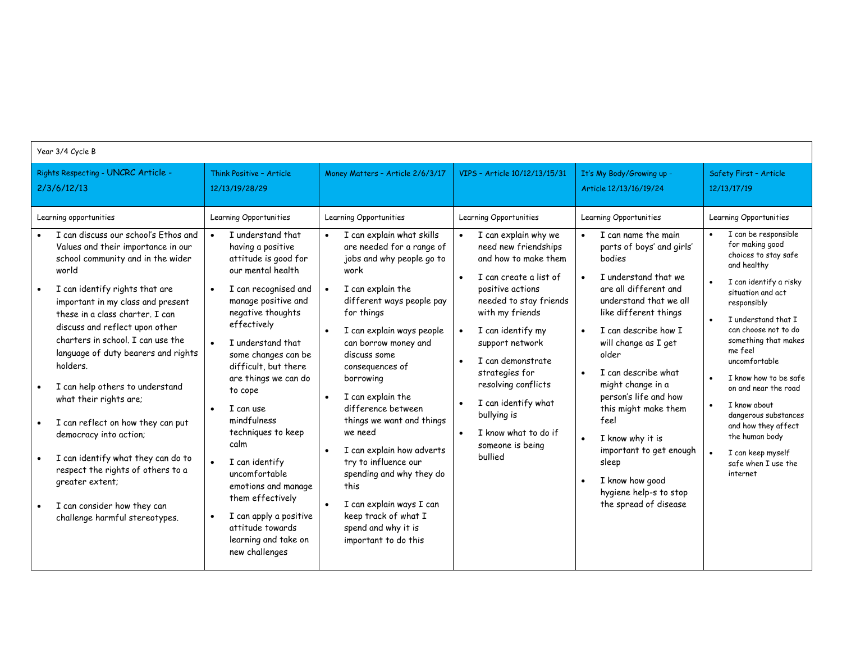| Year 3/4 Cycle B                                                                                                                                                                                                                                                                                                                                                                                                                                                                                                                                                                                                                                                                                                         |                                                                                                                                                                                                                                                                                                                                                                                                                                                                                                                                         |                                                                                                                                                                                                                                                                                                                                                                                                                                                                                                                                                                                                     |                                                                                                                                                                                                                                                                                                                                                                                                           |                                                                                                                                                                                                                                                                                                                                                                                                                                                                                                                                                       |                                                                                                                                                                                                                                                                                                                                                                                                                                                                     |  |  |
|--------------------------------------------------------------------------------------------------------------------------------------------------------------------------------------------------------------------------------------------------------------------------------------------------------------------------------------------------------------------------------------------------------------------------------------------------------------------------------------------------------------------------------------------------------------------------------------------------------------------------------------------------------------------------------------------------------------------------|-----------------------------------------------------------------------------------------------------------------------------------------------------------------------------------------------------------------------------------------------------------------------------------------------------------------------------------------------------------------------------------------------------------------------------------------------------------------------------------------------------------------------------------------|-----------------------------------------------------------------------------------------------------------------------------------------------------------------------------------------------------------------------------------------------------------------------------------------------------------------------------------------------------------------------------------------------------------------------------------------------------------------------------------------------------------------------------------------------------------------------------------------------------|-----------------------------------------------------------------------------------------------------------------------------------------------------------------------------------------------------------------------------------------------------------------------------------------------------------------------------------------------------------------------------------------------------------|-------------------------------------------------------------------------------------------------------------------------------------------------------------------------------------------------------------------------------------------------------------------------------------------------------------------------------------------------------------------------------------------------------------------------------------------------------------------------------------------------------------------------------------------------------|---------------------------------------------------------------------------------------------------------------------------------------------------------------------------------------------------------------------------------------------------------------------------------------------------------------------------------------------------------------------------------------------------------------------------------------------------------------------|--|--|
| Rights Respecting - UNCRC Article -<br>2/3/6/12/13                                                                                                                                                                                                                                                                                                                                                                                                                                                                                                                                                                                                                                                                       | Think Positive - Article<br>12/13/19/28/29                                                                                                                                                                                                                                                                                                                                                                                                                                                                                              | Money Matters - Article 2/6/3/17                                                                                                                                                                                                                                                                                                                                                                                                                                                                                                                                                                    | VIPS - Article 10/12/13/15/31                                                                                                                                                                                                                                                                                                                                                                             | It's My Body/Growing up -<br>Article 12/13/16/19/24                                                                                                                                                                                                                                                                                                                                                                                                                                                                                                   | Safety First - Article<br>12/13/17/19                                                                                                                                                                                                                                                                                                                                                                                                                               |  |  |
| Learning opportunities<br>I can discuss our school's Ethos and<br>Values and their importance in our<br>school community and in the wider<br>world<br>I can identify rights that are<br>$\bullet$<br>important in my class and present<br>these in a class charter. I can<br>discuss and reflect upon other<br>charters in school. I can use the<br>language of duty bearers and rights<br>holders.<br>I can help others to understand<br>what their rights are;<br>I can reflect on how they can put<br>$\bullet$<br>democracy into action;<br>I can identify what they can do to<br>respect the rights of others to a<br>greater extent;<br>I can consider how they can<br>$\bullet$<br>challenge harmful stereotypes. | Learning Opportunities<br>I understand that<br>having a positive<br>attitude is good for<br>our mental health<br>I can recognised and<br>manage positive and<br>negative thoughts<br>effectively<br>I understand that<br>some changes can be<br>difficult, but there<br>are things we can do<br>to cope<br>I can use<br>mindfulness<br>techniques to keep<br>calm<br>I can identify<br>uncomfortable<br>emotions and manage<br>them effectively<br>I can apply a positive<br>attitude towards<br>learning and take on<br>new challenges | Learning Opportunities<br>I can explain what skills<br>$\bullet$<br>are needed for a range of<br>jobs and why people go to<br>work<br>I can explain the<br>$\bullet$<br>different ways people pay<br>for things<br>I can explain ways people<br>can borrow money and<br>discuss some<br>consequences of<br>borrowing<br>I can explain the<br>difference between<br>things we want and things<br>we need<br>I can explain how adverts<br>try to influence our<br>spending and why they do<br>this<br>I can explain ways I can<br>keep track of what I<br>spend and why it is<br>important to do this | Learning Opportunities<br>I can explain why we<br>need new friendships<br>and how to make them<br>I can create a list of<br>positive actions<br>needed to stay friends<br>with my friends<br>I can identify my<br>support network<br>I can demonstrate<br>strategies for<br>resolving conflicts<br>I can identify what<br>bullying is<br>I know what to do if<br>$\bullet$<br>someone is being<br>bullied | Learning Opportunities<br>I can name the main<br>parts of boys' and girls'<br>bodies<br>I understand that we<br>$\bullet$<br>are all different and<br>understand that we all<br>like different things<br>I can describe how I<br>$\bullet$<br>will change as I get<br>older<br>I can describe what<br>$\bullet$<br>might change in a<br>person's life and how<br>this might make them<br>feel<br>I know why it is<br>$\bullet$<br>important to get enough<br>sleep<br>I know how good<br>$\bullet$<br>hygiene help-s to stop<br>the spread of disease | Learning Opportunities<br>I can be responsible<br>for making good<br>choices to stay safe<br>and healthy<br>I can identify a risky<br>situation and act<br>responsibly<br>I understand that I<br>can choose not to do<br>something that makes<br>me feel<br>uncomfortable<br>I know how to be safe<br>on and near the road<br>I know about<br>dangerous substances<br>and how they affect<br>the human body<br>I can keep myself<br>safe when I use the<br>internet |  |  |